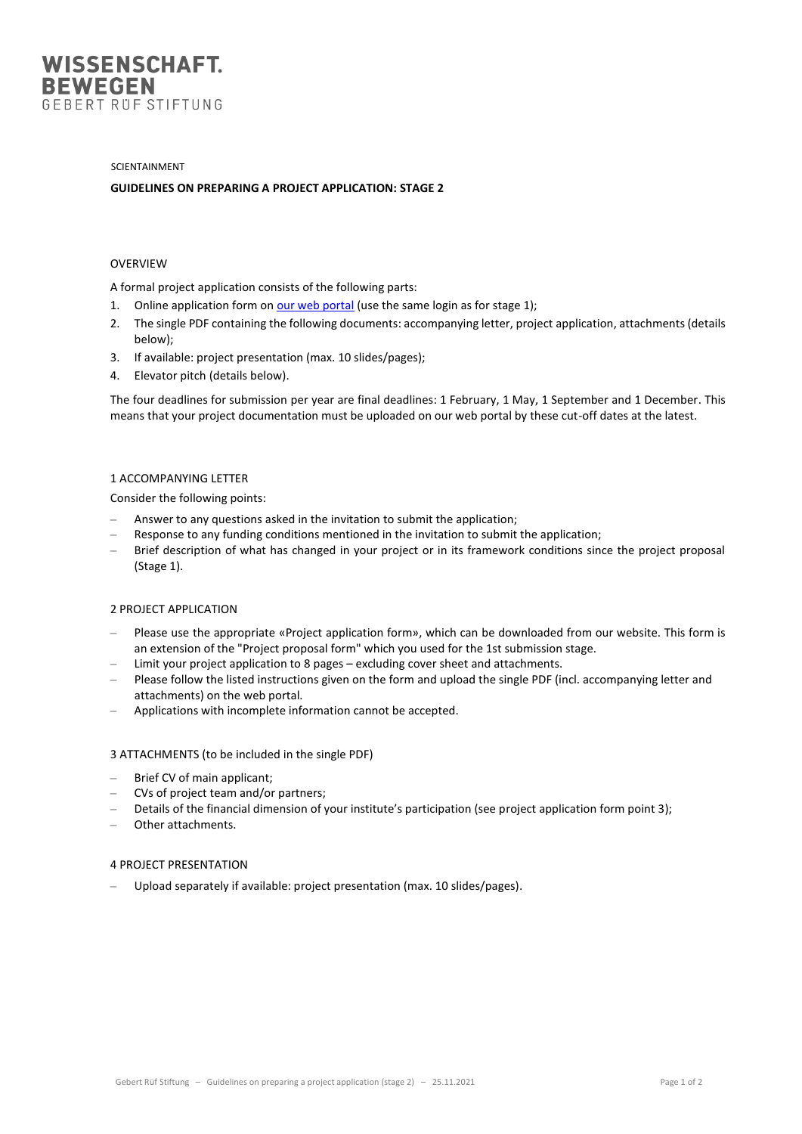

#### SCIENTAINMENT

## **GUIDELINES ON PREPARING A PROJECT APPLICATION: STAGE 2**

## OVERVIEW

A formal project application consists of the following parts:

- 1. Online application form o[n our web portal](https://submissions.grstiftung.ch/apply) (use the same login as for stage 1);
- 2. The single PDF containing the following documents: accompanying letter, project application, attachments (details below);
- 3. If available: project presentation (max. 10 slides/pages);
- 4. Elevator pitch (details below).

The four deadlines for submission per year are final deadlines: 1 February, 1 May, 1 September and 1 December. This means that your project documentation must be uploaded on our web portal by these cut-off dates at the latest.

# 1 ACCOMPANYING LETTER

Consider the following points:

- Answer to any questions asked in the invitation to submit the application;
- Response to any funding conditions mentioned in the invitation to submit the application;
- Brief description of what has changed in your project or in its framework conditions since the project proposal (Stage 1).

#### 2 PROJECT APPLICATION

- Please use the appropriate «Project application form», which can be downloaded from our website. This form is an extension of the "Project proposal form" which you used for the 1st submission stage.
- Limit your project application to 8 pages excluding cover sheet and attachments.
- Please follow the listed instructions given on the form and upload the single PDF (incl. accompanying letter and attachments) on the web portal.
- Applications with incomplete information cannot be accepted.

#### 3 ATTACHMENTS (to be included in the single PDF)

- Brief CV of main applicant;
- CVs of project team and/or partners;
- Details of the financial dimension of your institute's participation (see project application form point 3);
- Other attachments.

### 4 PROJECT PRESENTATION

– Upload separately if available: project presentation (max. 10 slides/pages).